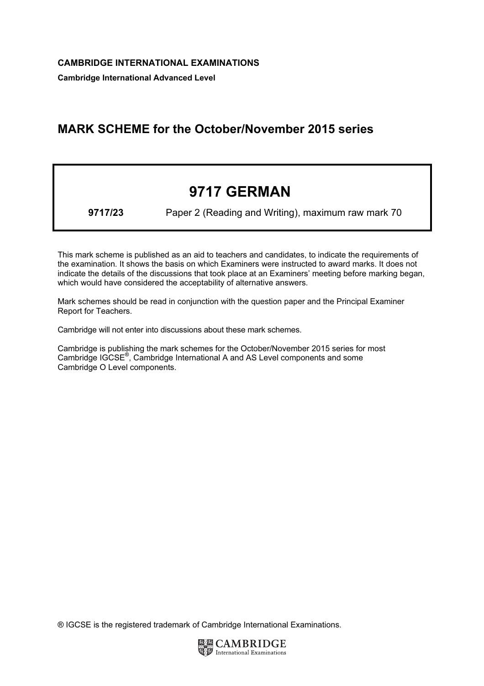Cambridge International Advanced Level

## MARK SCHEME for the October/November 2015 series

# 9717 GERMAN

9717/23 Paper 2 (Reading and Writing), maximum raw mark 70

This mark scheme is published as an aid to teachers and candidates, to indicate the requirements of the examination. It shows the basis on which Examiners were instructed to award marks. It does not indicate the details of the discussions that took place at an Examiners' meeting before marking began, which would have considered the acceptability of alternative answers.

Mark schemes should be read in conjunction with the question paper and the Principal Examiner Report for Teachers.

Cambridge will not enter into discussions about these mark schemes.

Cambridge is publishing the mark schemes for the October/November 2015 series for most Cambridge IGCSE*®* , Cambridge International A and AS Level components and some Cambridge O Level components.

® IGCSE is the registered trademark of Cambridge International Examinations.

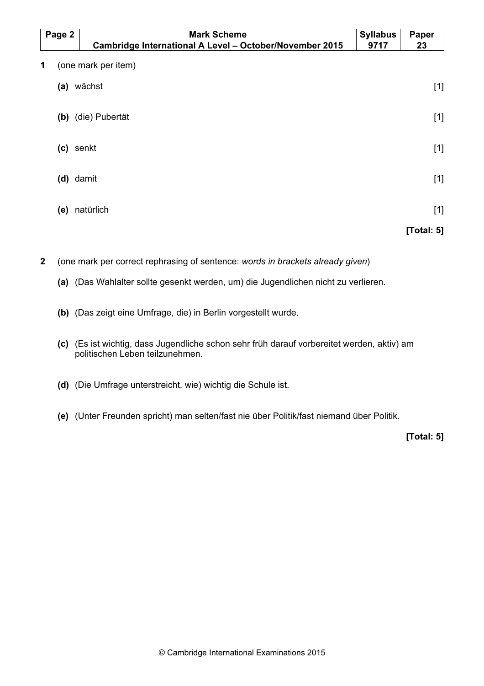| Page 2 |     | <b>Mark Scheme</b>                                      |      | Paper         |
|--------|-----|---------------------------------------------------------|------|---------------|
|        |     | Cambridge International A Level - October/November 2015 | 9717 | 23            |
| 1      |     | (one mark per item)                                     |      |               |
|        | (a) | wächst                                                  |      | $[1]$         |
|        |     | (b) (die) Pubertät                                      |      | $[1]$         |
|        |     | (c) senkt                                               |      | $[1]$         |
|        |     | (d) damit                                               |      | $[1]$         |
|        | (e) | natürlich                                               |      | $[1]$         |
|        |     |                                                         |      | [Total: $5$ ] |

2 (one mark per correct rephrasing of sentence: words in brackets already given)

- (a) (Das Wahlalter sollte gesenkt werden, um) die Jugendlichen nicht zu verlieren.
- (b) (Das zeigt eine Umfrage, die) in Berlin vorgestellt wurde.
- (c) (Es ist wichtig, dass Jugendliche schon sehr früh darauf vorbereitet werden, aktiv) am politischen Leben teilzunehmen.
- (d) (Die Umfrage unterstreicht, wie) wichtig die Schule ist.
- (e) (Unter Freunden spricht) man selten/fast nie über Politik/fast niemand über Politik.

[Total: 5]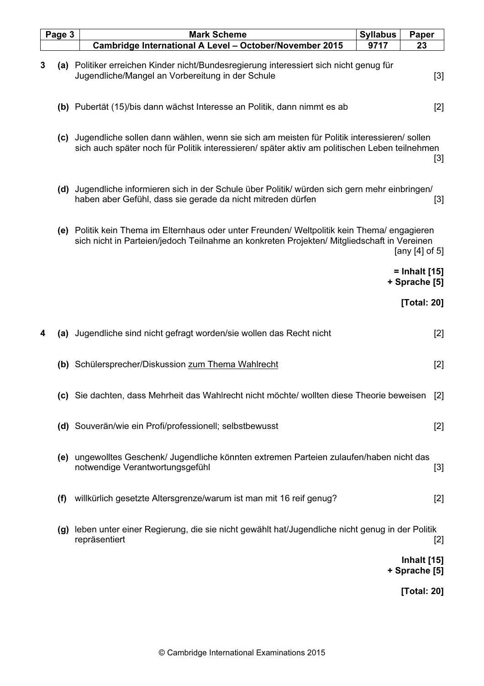|   | Page 3 | <b>Mark Scheme</b>                                                                                                                                                                             | <b>Syllabus</b> | Paper                               |
|---|--------|------------------------------------------------------------------------------------------------------------------------------------------------------------------------------------------------|-----------------|-------------------------------------|
|   |        | Cambridge International A Level - October/November 2015                                                                                                                                        | 9717            | 23                                  |
| 3 |        | (a) Politiker erreichen Kinder nicht/Bundesregierung interessiert sich nicht genug für<br>Jugendliche/Mangel an Vorbereitung in der Schule                                                     |                 | $[3]$                               |
|   |        | (b) Pubertät (15)/bis dann wächst Interesse an Politik, dann nimmt es ab                                                                                                                       |                 | $[2]$                               |
|   |        | (c) Jugendliche sollen dann wählen, wenn sie sich am meisten für Politik interessieren/sollen<br>sich auch später noch für Politik interessieren/ später aktiv am politischen Leben teilnehmen |                 | $[3]$                               |
|   | (d)    | Jugendliche informieren sich in der Schule über Politik/ würden sich gern mehr einbringen/<br>haben aber Gefühl, dass sie gerade da nicht mitreden dürfen                                      |                 | $[3]$                               |
|   |        | (e) Politik kein Thema im Elternhaus oder unter Freunden/ Weltpolitik kein Thema/ engagieren<br>sich nicht in Parteien/jedoch Teilnahme an konkreten Projekten/ Mitgliedschaft in Vereinen     |                 | [any $[4]$ of 5]                    |
|   |        |                                                                                                                                                                                                |                 | = Inhalt [15]<br>+ Sprache [5]      |
|   |        |                                                                                                                                                                                                |                 | [Total: 20]                         |
| 4 | (a)    | Jugendliche sind nicht gefragt worden/sie wollen das Recht nicht                                                                                                                               |                 | $[2]$                               |
|   |        | (b) Schülersprecher/Diskussion zum Thema Wahlrecht                                                                                                                                             |                 | [2]                                 |
|   |        | (c) Sie dachten, dass Mehrheit das Wahlrecht nicht möchte/ wollten diese Theorie beweisen                                                                                                      |                 | $[2]$                               |
|   |        | (d) Souverän/wie ein Profi/professionell; selbstbewusst                                                                                                                                        |                 | $[2]$                               |
|   |        | (e) ungewolltes Geschenk/ Jugendliche könnten extremen Parteien zulaufen/haben nicht das<br>notwendige Verantwortungsgefühl                                                                    |                 | $[3]$                               |
|   | (f)    | willkürlich gesetzte Altersgrenze/warum ist man mit 16 reif genug?                                                                                                                             |                 | $[2]$                               |
|   | (g)    | leben unter einer Regierung, die sie nicht gewählt hat/Jugendliche nicht genug in der Politik<br>repräsentiert                                                                                 |                 | $[2]$                               |
|   |        |                                                                                                                                                                                                |                 | <b>Inhalt</b> [15]<br>+ Sprache [5] |
|   |        |                                                                                                                                                                                                |                 | [Total: 20]                         |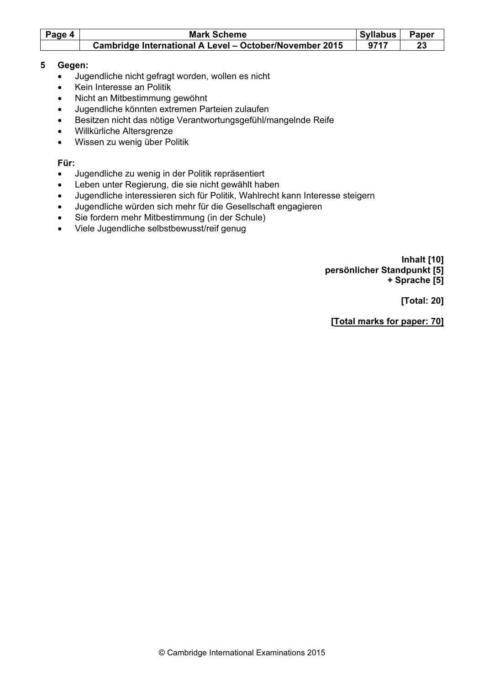| Page 4 | <b>Mark Scheme</b>                                             | Syllabus | <b>Paper</b> |
|--------|----------------------------------------------------------------|----------|--------------|
|        | <b>Cambridge International A Level - October/November 2015</b> | 9717     |              |

## 5 Gegen:

- Jugendliche nicht gefragt worden, wollen es nicht
- Kein Interesse an Politik
- Nicht an Mitbestimmung gewöhnt
- Jugendliche könnten extremen Parteien zulaufen
- Besitzen nicht das nötige Verantwortungsgefühl/mangelnde Reife
- Willkürliche Altersgrenze
- Wissen zu wenig über Politik

### Für:

- Jugendliche zu wenig in der Politik repräsentiert
- Leben unter Regierung, die sie nicht gewählt haben
- Jugendliche interessieren sich für Politik, Wahlrecht kann Interesse steigern
- Jugendliche würden sich mehr für die Gesellschaft engagieren
- Sie fordern mehr Mitbestimmung (in der Schule)
- Viele Jugendliche selbstbewusst/reif genug

 Inhalt [10] persönlicher Standpunkt [5] + Sprache [5]

[Total: 20]

[Total marks for paper: 70]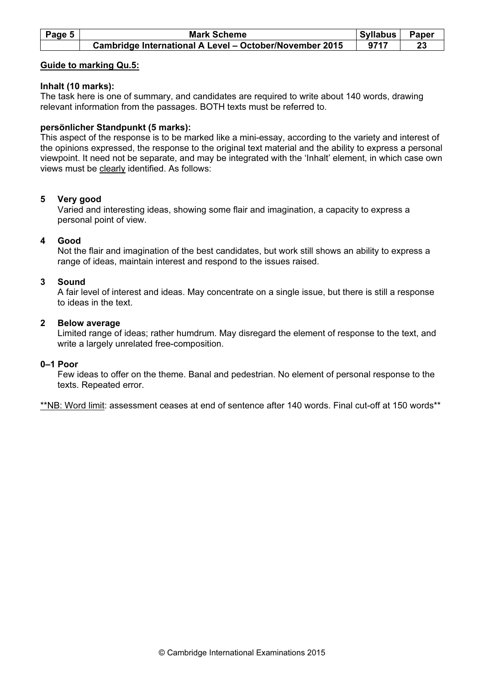| Page 5 | <b>Mark Scheme</b>                                      | <b>Syllabus</b> | Paper |
|--------|---------------------------------------------------------|-----------------|-------|
|        | Cambridge International A Level - October/November 2015 | 9717            |       |

#### Guide to marking Qu.5:

#### Inhalt (10 marks):

The task here is one of summary, and candidates are required to write about 140 words, drawing relevant information from the passages. BOTH texts must be referred to.

#### persönlicher Standpunkt (5 marks):

This aspect of the response is to be marked like a mini-essay, according to the variety and interest of the opinions expressed, the response to the original text material and the ability to express a personal viewpoint. It need not be separate, and may be integrated with the 'Inhalt' element, in which case own views must be clearly identified. As follows:

#### 5 Very good

 Varied and interesting ideas, showing some flair and imagination, a capacity to express a personal point of view.

#### 4 Good

 Not the flair and imagination of the best candidates, but work still shows an ability to express a range of ideas, maintain interest and respond to the issues raised.

#### 3 Sound

 A fair level of interest and ideas. May concentrate on a single issue, but there is still a response to ideas in the text.

#### 2 Below average

 Limited range of ideas; rather humdrum. May disregard the element of response to the text, and write a largely unrelated free-composition.

#### 0–1 Poor

 Few ideas to offer on the theme. Banal and pedestrian. No element of personal response to the texts. Repeated error.

\*\*NB: Word limit: assessment ceases at end of sentence after 140 words. Final cut-off at 150 words\*\*